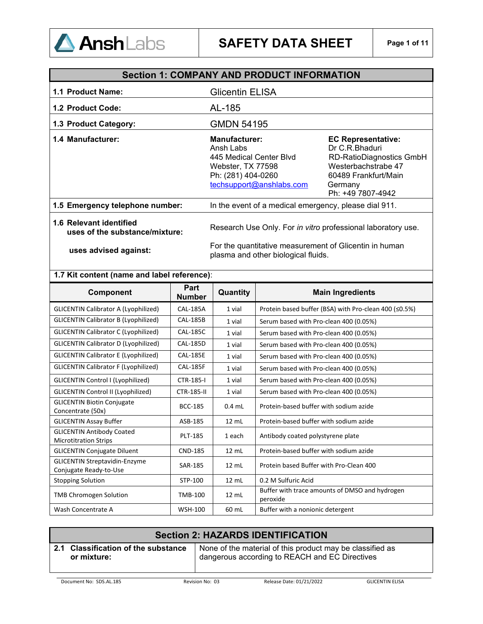

|                                                           | <b>Section 1: COMPANY AND PRODUCT INFORMATION</b>                                                                                   |                                                                                                                                                               |  |  |
|-----------------------------------------------------------|-------------------------------------------------------------------------------------------------------------------------------------|---------------------------------------------------------------------------------------------------------------------------------------------------------------|--|--|
| 1.1 Product Name:                                         | <b>Glicentin ELISA</b>                                                                                                              |                                                                                                                                                               |  |  |
| 1.2 Product Code:                                         | AL-185                                                                                                                              |                                                                                                                                                               |  |  |
| 1.3 Product Category:                                     | <b>GMDN 54195</b>                                                                                                                   |                                                                                                                                                               |  |  |
| 1.4 Manufacturer:                                         | <b>Manufacturer:</b><br>Ansh Labs<br>445 Medical Center Blvd<br>Webster, TX 77598<br>Ph: (281) 404-0260<br>techsupport@anshlabs.com | <b>EC Representative:</b><br>Dr C.R.Bhaduri<br><b>RD-RatioDiagnostics GmbH</b><br>Westerbachstrabe 47<br>60489 Frankfurt/Main<br>Germany<br>Ph: +49 7807-4942 |  |  |
| 1.5 Emergency telephone number:                           | In the event of a medical emergency, please dial 911.                                                                               |                                                                                                                                                               |  |  |
| 1.6 Relevant identified<br>uses of the substance/mixture: | Research Use Only. For in vitro professional laboratory use.                                                                        |                                                                                                                                                               |  |  |
| uses advised against:                                     | For the quantitative measurement of Glicentin in human<br>plasma and other biological fluids.                                       |                                                                                                                                                               |  |  |

### **1.7 Kit content (name and label reference)**:

| Component                                                        | Part<br><b>Number</b> | Quantity        | <b>Main Ingredients</b>                                      |
|------------------------------------------------------------------|-----------------------|-----------------|--------------------------------------------------------------|
| <b>GLICENTIN Calibrator A (Lyophilized)</b>                      | <b>CAL-185A</b>       | 1 vial          | Protein based buffer (BSA) with Pro-clean 400 ( $\leq$ 0.5%) |
| <b>GLICENTIN Calibrator B (Lyophilized)</b>                      | <b>CAL-185B</b>       | 1 vial          | Serum based with Pro-clean 400 (0.05%)                       |
| <b>GLICENTIN Calibrator C (Lyophilized)</b>                      | <b>CAL-185C</b>       | 1 vial          | Serum based with Pro-clean 400 (0.05%)                       |
| <b>GLICENTIN Calibrator D (Lyophilized)</b>                      | <b>CAL-185D</b>       | 1 vial          | Serum based with Pro-clean 400 (0.05%)                       |
| <b>GLICENTIN Calibrator E (Lyophilized)</b>                      | <b>CAL-185E</b>       | 1 vial          | Serum based with Pro-clean 400 (0.05%)                       |
| <b>GLICENTIN Calibrator F (Lyophilized)</b>                      | <b>CAL-185F</b>       | 1 vial          | Serum based with Pro-clean 400 (0.05%)                       |
| GLICENTIN Control I (Lyophilized)                                | <b>CTR-185-I</b>      | 1 vial          | Serum based with Pro-clean 400 (0.05%)                       |
| <b>GLICENTIN Control II (Lyophilized)</b>                        | <b>CTR-185-II</b>     | 1 vial          | Serum based with Pro-clean 400 (0.05%)                       |
| <b>GLICENTIN Biotin Conjugate</b><br>Concentrate (50x)           | <b>BCC-185</b>        | $0.4$ mL        | Protein-based buffer with sodium azide                       |
| <b>GLICENTIN Assay Buffer</b>                                    | ASB-185               | $12 \text{ mL}$ | Protein-based buffer with sodium azide                       |
| <b>GLICENTIN Antibody Coated</b><br><b>Microtitration Strips</b> | <b>PLT-185</b>        | 1 each          | Antibody coated polystyrene plate                            |
| <b>GLICENTIN Conjugate Diluent</b>                               | <b>CND-185</b>        | $12 \text{ mL}$ | Protein-based buffer with sodium azide                       |
| <b>GLICENTIN Streptavidin-Enzyme</b><br>Conjugate Ready-to-Use   | SAR-185               | $12 \text{ mL}$ | Protein based Buffer with Pro-Clean 400                      |
| <b>Stopping Solution</b>                                         | STP-100               | $12 \text{ mL}$ | 0.2 M Sulfuric Acid                                          |
| <b>TMB Chromogen Solution</b>                                    | <b>TMB-100</b>        | $12 \text{ mL}$ | Buffer with trace amounts of DMSO and hydrogen<br>peroxide   |
| Wash Concentrate A                                               | <b>WSH-100</b>        | 60 mL           | Buffer with a nonionic detergent                             |

#### **Section 2: HAZARDS IDENTIFICATION 2.1 Classification of the substance or mixture:** None of the material of this product may be classified as dangerous according to REACH and EC Directives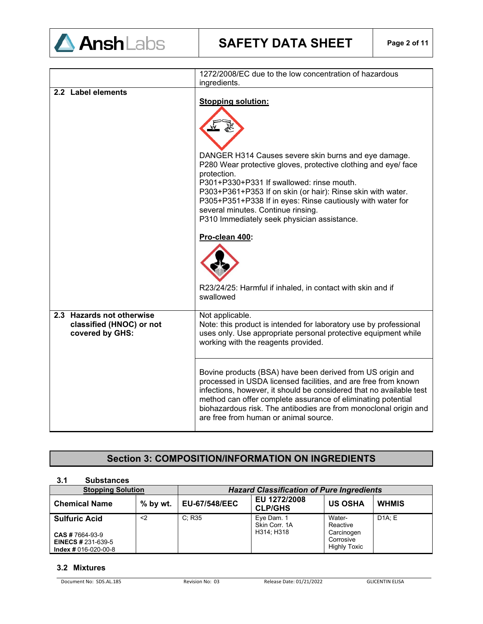

|                                                                          | 1272/2008/EC due to the low concentration of hazardous<br>ingredients.                                                                                                                                                                                                                                                                                                           |  |  |
|--------------------------------------------------------------------------|----------------------------------------------------------------------------------------------------------------------------------------------------------------------------------------------------------------------------------------------------------------------------------------------------------------------------------------------------------------------------------|--|--|
| 2.2 Label elements                                                       |                                                                                                                                                                                                                                                                                                                                                                                  |  |  |
|                                                                          | <b>Stopping solution:</b><br>DANGER H314 Causes severe skin burns and eye damage.<br>P280 Wear protective gloves, protective clothing and eye/ face<br>protection.<br>P301+P330+P331 If swallowed: rinse mouth.<br>P303+P361+P353 If on skin (or hair): Rinse skin with water.<br>P305+P351+P338 If in eyes: Rinse cautiously with water for                                     |  |  |
|                                                                          | several minutes. Continue rinsing.<br>P310 Immediately seek physician assistance.                                                                                                                                                                                                                                                                                                |  |  |
|                                                                          | Pro-clean 400:                                                                                                                                                                                                                                                                                                                                                                   |  |  |
|                                                                          | R23/24/25: Harmful if inhaled, in contact with skin and if<br>swallowed                                                                                                                                                                                                                                                                                                          |  |  |
| 2.3 Hazards not otherwise<br>classified (HNOC) or not<br>covered by GHS: | Not applicable.<br>Note: this product is intended for laboratory use by professional<br>uses only. Use appropriate personal protective equipment while<br>working with the reagents provided.                                                                                                                                                                                    |  |  |
|                                                                          | Bovine products (BSA) have been derived from US origin and<br>processed in USDA licensed facilities, and are free from known<br>infections, however, it should be considered that no available test<br>method can offer complete assurance of eliminating potential<br>biohazardous risk. The antibodies are from monoclonal origin and<br>are free from human or animal source. |  |  |

### **Section 3: COMPOSITION/INFORMATION ON INGREDIENTS**

#### **3.1 Substances Hazard Classification of Pure Ingredients**<br>  $\begin{array}{c|c}\n\hline\n\end{array}$  **EU 1272/2008 Chemical Name**  % by wt. EU-67/548/EEC **CLP/GHS US OSHA WHMIS Sulfuric Acid CAS #** 7664-93-9 **EINECS #** 231-639-5 **Index #** 016-020-00-8 <2 C; R35 Eye Dam. 1 Skin Corr. 1A H314; H318 Water-Reactive **Carcinogen Corrosive** Highly Toxic D1A; E

#### **3.2 Mixtures**

Document No: SDS.AL.185 Revision No: 03 Release Date: 01/21/2022 GLICENTIN ELISA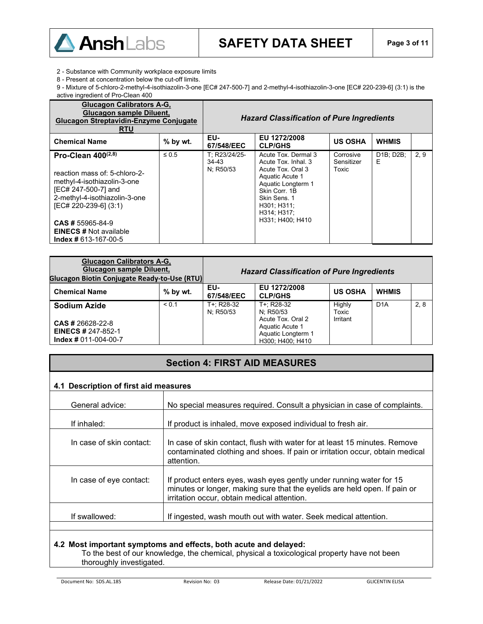

2 - Substance with Community workplace exposure limits

8 - Present at concentration below the cut-off limits.

9 - Mixture of 5-chloro-2-methyl-4-isothiazolin-3-one [EC# 247-500-7] and 2-methyl-4-isothiazolin-3-one [EC# 220-239-6] (3:1) is the active ingredient of Pro-Clean 400

| <b>Glucagon Calibrators A-G,</b><br>Glucagon sample Diluent,<br><b>Glucagon Streptavidin-Enzyme Conjugate</b><br><b>RTU</b>                                                                                                                                    |            | <b>Hazard Classification of Pure Ingredients</b> |                                                                                                                                                                                             |                                  |                |      |
|----------------------------------------------------------------------------------------------------------------------------------------------------------------------------------------------------------------------------------------------------------------|------------|--------------------------------------------------|---------------------------------------------------------------------------------------------------------------------------------------------------------------------------------------------|----------------------------------|----------------|------|
| <b>Chemical Name</b>                                                                                                                                                                                                                                           | $%$ by wt. | EU-<br>67/548/EEC                                | EU 1272/2008<br><b>CLP/GHS</b>                                                                                                                                                              | <b>US OSHA</b>                   | <b>WHMIS</b>   |      |
| Pro-Clean $400^{(2,8)}$<br>reaction mass of: 5-chloro-2-<br>methyl-4-isothiazolin-3-one<br>[EC# 247-500-7] and<br>2-methyl-4-isothiazolin-3-one<br>[EC# 220-239-6] (3:1)<br><b>CAS # 55965-84-9</b><br><b>EINECS # Not available</b><br>$Index # 613-167-00-5$ | $\leq 0.5$ | T: R23/24/25-<br>34-43<br>N; R50/53              | Acute Tox, Dermal 3<br>Acute Tox, Inhal, 3<br>Acute Tox, Oral 3<br>Aquatic Acute 1<br>Aquatic Longterm 1<br>Skin Corr. 1B<br>Skin Sens. 1<br>H301; H311;<br>H314: H317:<br>H331; H400; H410 | Corrosive<br>Sensitizer<br>Toxic | D1B; D2B;<br>E | 2, 9 |

| <b>Glucagon Calibrators A-G,</b><br>Glucagon sample Diluent,<br><b>Glucagon Biotin Conjugate Ready-to-Use (RTU)</b> |            | <b>Hazard Classification of Pure Ingredients</b> |                                                                                |                 |                  |      |
|---------------------------------------------------------------------------------------------------------------------|------------|--------------------------------------------------|--------------------------------------------------------------------------------|-----------------|------------------|------|
| <b>Chemical Name</b>                                                                                                | $%$ by wt. | EU-<br>67/548/EEC                                | EU 1272/2008<br><b>CLP/GHS</b>                                                 | <b>US OSHA</b>  | <b>WHMIS</b>     |      |
| <b>Sodium Azide</b>                                                                                                 | < 0.1      | T+: R28-32<br>N: R50/53                          | T+: R28-32<br>N: R50/53                                                        | Highly<br>Toxic | D <sub>1</sub> A | 2, 8 |
| <b>CAS # 26628-22-8</b><br><b>EINECS # 247-852-1</b><br>$Index # 011-004-00-7$                                      |            |                                                  | Acute Tox, Oral 2<br>Aquatic Acute 1<br>Aquatic Longterm 1<br>H300: H400: H410 | Irritant        |                  |      |

### **Section 4: FIRST AID MEASURES**

### **4.1 Description of first aid measures**

| General advice:          | No special measures required. Consult a physician in case of complaints.                                                                                                                        |
|--------------------------|-------------------------------------------------------------------------------------------------------------------------------------------------------------------------------------------------|
|                          |                                                                                                                                                                                                 |
| If inhaled:              | If product is inhaled, move exposed individual to fresh air.                                                                                                                                    |
| In case of skin contact: | In case of skin contact, flush with water for at least 15 minutes. Remove<br>contaminated clothing and shoes. If pain or irritation occur, obtain medical<br>attention.                         |
| In case of eye contact:  | If product enters eyes, wash eyes gently under running water for 15<br>minutes or longer, making sure that the eyelids are held open. If pain or<br>irritation occur, obtain medical attention. |
| If swallowed:            | If ingested, wash mouth out with water. Seek medical attention.                                                                                                                                 |

#### **4.2 Most important symptoms and effects, both acute and delayed:**

To the best of our knowledge, the chemical, physical a toxicological property have not been thoroughly investigated.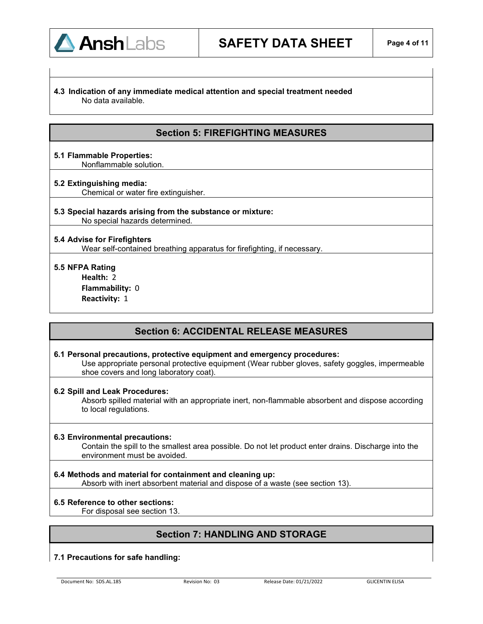#### **4.3 Indication of any immediate medical attention and special treatment needed**  No data available.

### **Section 5: FIREFIGHTING MEASURES**

**5.1 Flammable Properties:** Nonflammable solution.

#### **5.2 Extinguishing media:**

Chemical or water fire extinguisher.

## **5.3 Special hazards arising from the substance or mixture:**

No special hazards determined.

#### **5.4 Advise for Firefighters**

Wear self-contained breathing apparatus for firefighting, if necessary.

#### **5.5 NFPA Rating**

**Health:** 2 **Flammability:** 0 **Reactivity:** 1

### **Section 6: ACCIDENTAL RELEASE MEASURES**

#### **6.1 Personal precautions, protective equipment and emergency procedures:**

Use appropriate personal protective equipment (Wear rubber gloves, safety goggles, impermeable shoe covers and long laboratory coat).

#### **6.2 Spill and Leak Procedures:**

Absorb spilled material with an appropriate inert, non-flammable absorbent and dispose according to local regulations.

#### **6.3 Environmental precautions:**

Contain the spill to the smallest area possible. Do not let product enter drains. Discharge into the environment must be avoided.

**6.4 Methods and material for containment and cleaning up:** 

Absorb with inert absorbent material and dispose of a waste (see section 13).

### **6.5 Reference to other sections:**

For disposal see section 13.

### **Section 7: HANDLING AND STORAGE**

#### **7.1 Precautions for safe handling:**

Document No: SDS.AL.185 Revision No: 03 Release Date: 01/21/2022 GLICENTIN ELISA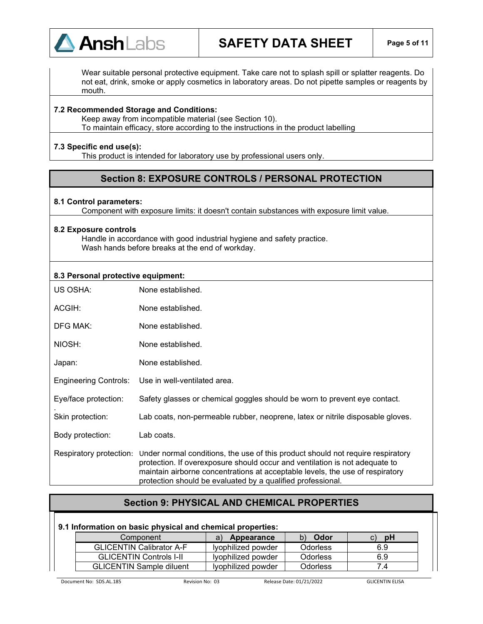

## **SAFETY DATA SHEET Page 5 of 11**

Wear suitable personal protective equipment. Take care not to splash spill or splatter reagents. Do not eat, drink, smoke or apply cosmetics in laboratory areas. Do not pipette samples or reagents by mouth.

#### **7.2 Recommended Storage and Conditions:**

Keep away from incompatible material (see Section 10). To maintain efficacy, store according to the instructions in the product labelling

#### **7.3 Specific end use(s):**

This product is intended for laboratory use by professional users only.

### **Section 8: EXPOSURE CONTROLS / PERSONAL PROTECTION**

#### **8.1 Control parameters:**

Component with exposure limits: it doesn't contain substances with exposure limit value.

#### **8.2 Exposure controls**

Handle in accordance with good industrial hygiene and safety practice. Wash hands before breaks at the end of workday.

#### **8.3 Personal protective equipment:**

| US OSHA:                     | None established.                                                                                                                                                                                                                                                                                                                      |
|------------------------------|----------------------------------------------------------------------------------------------------------------------------------------------------------------------------------------------------------------------------------------------------------------------------------------------------------------------------------------|
| ACGIH:                       | None established.                                                                                                                                                                                                                                                                                                                      |
| <b>DFG MAK:</b>              | None established.                                                                                                                                                                                                                                                                                                                      |
| NIOSH:                       | None established.                                                                                                                                                                                                                                                                                                                      |
| Japan:                       | None established.                                                                                                                                                                                                                                                                                                                      |
| <b>Engineering Controls:</b> | Use in well-ventilated area.                                                                                                                                                                                                                                                                                                           |
| Eye/face protection:         | Safety glasses or chemical goggles should be worn to prevent eye contact.                                                                                                                                                                                                                                                              |
| Skin protection:             | Lab coats, non-permeable rubber, neoprene, latex or nitrile disposable gloves.                                                                                                                                                                                                                                                         |
| Body protection:             | Lab coats.                                                                                                                                                                                                                                                                                                                             |
|                              | Respiratory protection: Under normal conditions, the use of this product should not require respiratory<br>protection. If overexposure should occur and ventilation is not adequate to<br>maintain airborne concentrations at acceptable levels, the use of respiratory<br>protection should be evaluated by a qualified professional. |

### **Section 9: PHYSICAL AND CHEMICAL PROPERTIES**

#### **9.1 Information on basic physical and chemical properties:**

| Component                       | Appearance         | Odor     | <b>pH</b>     |
|---------------------------------|--------------------|----------|---------------|
| <b>GLICENTIN Calibrator A-F</b> | Ivophilized powder | Odorless | 6.9           |
| <b>GLICENTIN Controls I-II</b>  | lyophilized powder | Odorless | 6.9           |
| <b>GLICENTIN Sample diluent</b> | Ivophilized powder | Odorless | $^{\prime}$ 4 |

Document No: SDS.AL.185 Revision No: 03 Release Date: 01/21/2022 GLICENTIN ELISA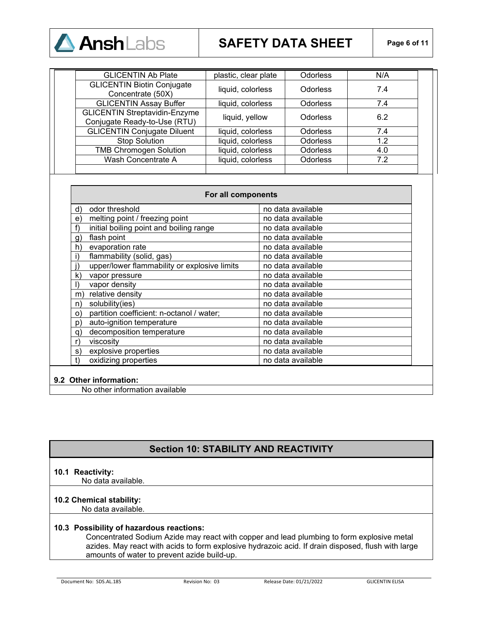

## **SAFETY DATA SHEET Page 6 of 11**

| <b>GLICENTIN Ab Plate</b>                                            | plastic, clear plate | <b>Odorless</b> | N/A |
|----------------------------------------------------------------------|----------------------|-----------------|-----|
| <b>GLICENTIN Biotin Conjugate</b><br>Concentrate (50X)               | liquid, colorless    | <b>Odorless</b> | 7.4 |
| <b>GLICENTIN Assay Buffer</b>                                        | liquid, colorless    | <b>Odorless</b> | 7.4 |
| <b>GLICENTIN Streptavidin-Enzyme</b><br>Conjugate Ready-to-Use (RTU) | liquid, yellow       | <b>Odorless</b> | 6.2 |
| <b>GLICENTIN Conjugate Diluent</b>                                   | liquid, colorless    | <b>Odorless</b> | 7.4 |
| <b>Stop Solution</b>                                                 | liquid, colorless    | <b>Odorless</b> | 1.2 |
| <b>TMB Chromogen Solution</b>                                        | liquid, colorless    | <b>Odorless</b> | 4.0 |
| Wash Concentrate A                                                   | liquid, colorless    | <b>Odorless</b> | 7.2 |
|                                                                      |                      |                 |     |

| For all components |                                              |                   |  |
|--------------------|----------------------------------------------|-------------------|--|
| d)                 | odor threshold                               | no data available |  |
| e)                 | melting point / freezing point               | no data available |  |
| f)                 | initial boiling point and boiling range      | no data available |  |
| g)                 | flash point                                  | no data available |  |
| h)                 | evaporation rate                             | no data available |  |
| i)                 | flammability (solid, gas)                    | no data available |  |
|                    | upper/lower flammability or explosive limits | no data available |  |
| k)                 | vapor pressure                               | no data available |  |
|                    | vapor density                                | no data available |  |
| m)                 | relative density                             | no data available |  |
| n)                 | solubility(ies)                              | no data available |  |
| O)                 | partition coefficient: n-octanol / water;    | no data available |  |
| p)                 | auto-ignition temperature                    | no data available |  |
| q)                 | decomposition temperature                    | no data available |  |
| r)                 | viscosity                                    | no data available |  |
| s)                 | explosive properties                         | no data available |  |
| t)                 | oxidizing properties                         | no data available |  |

#### **9.2 Other information:**

No other information available

### **Section 10: STABILITY AND REACTIVITY**

#### **10.1 Reactivity:**

No data available.

#### **10.2 Chemical stability:**

No data available.

#### **10.3 Possibility of hazardous reactions:**

Concentrated Sodium Azide may react with copper and lead plumbing to form explosive metal azides. May react with acids to form explosive hydrazoic acid. If drain disposed, flush with large amounts of water to prevent azide build-up.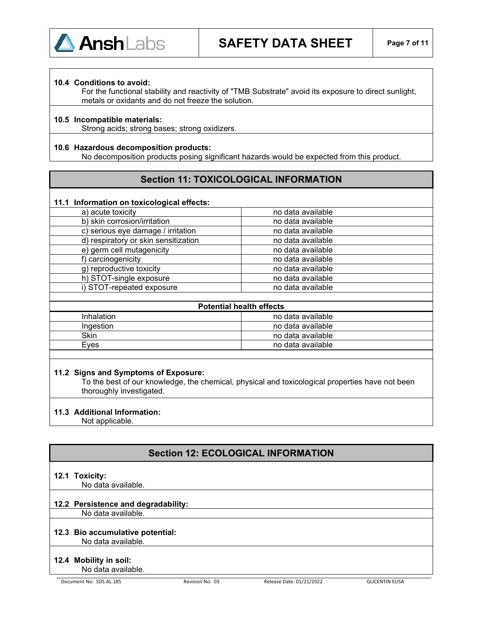

#### **10.4 Conditions to avoid:**

For the functional stability and reactivity of "TMB Substrate" avoid its exposure to direct sunlight, metals or oxidants and do not freeze the solution.

#### **10.5 Incompatible materials:**

Strong acids; strong bases; strong oxidizers.

#### **10.6 Hazardous decomposition products:**

No decomposition products posing significant hazards would be expected from this product.

### **Section 11: TOXICOLOGICAL INFORMATION**

#### **11.1 Information on toxicological effects:**

| no data available |
|-------------------|
| no data available |
| no data available |
| no data available |
| no data available |
| no data available |
| no data available |
| no data available |
| no data available |
|                   |

| <b>Potential health effects</b> |                   |  |  |
|---------------------------------|-------------------|--|--|
| Inhalation                      | no data available |  |  |
| Ingestion                       | no data available |  |  |
| Skin                            | no data available |  |  |
| Eves                            | no data available |  |  |
|                                 |                   |  |  |

#### **11.2 Signs and Symptoms of Exposure:**

To the best of our knowledge, the chemical, physical and toxicological properties have not been thoroughly investigated.

#### **11.3 Additional Information:**

Not applicable.

### **Section 12: ECOLOGICAL INFORMATION**

#### **12.1 Toxicity:**

No data available.

#### **12.2 Persistence and degradability:**

No data available.

## **12.3 Bio accumulative potential:**

No data available.

### **12.4 Mobility in soil:**

No data available.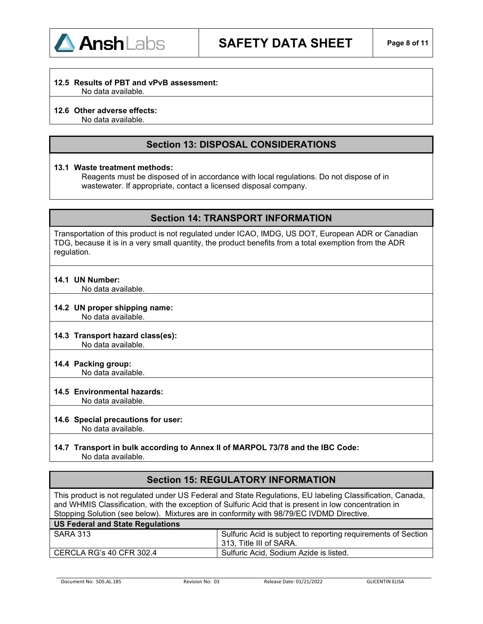

#### **12.5 Results of PBT and vPvB assessment:**

No data available.

#### **12.6 Other adverse effects:**

No data available.

### **Section 13: DISPOSAL CONSIDERATIONS**

#### **13.1 Waste treatment methods:**

Reagents must be disposed of in accordance with local regulations. Do not dispose of in wastewater. If appropriate, contact a licensed disposal company.

### **Section 14: TRANSPORT INFORMATION**

Transportation of this product is not regulated under ICAO, IMDG, US DOT, European ADR or Canadian TDG, because it is in a very small quantity, the product benefits from a total exemption from the ADR regulation.

#### **14.1 UN Number:**

No data available.

### **14.2 UN proper shipping name:**

No data available.

#### **14.3 Transport hazard class(es):** No data available.

**14.4 Packing group:**

No data available.

#### **14.5 Environmental hazards:**

No data available.

#### **14.6 Special precautions for user:**

No data available.

## **14.7 Transport in bulk according to Annex II of MARPOL 73/78 and the IBC Code:**

No data available.

### **Section 15: REGULATORY INFORMATION**

This product is not regulated under US Federal and State Regulations, EU labeling Classification, Canada, and WHMIS Classification, with the exception of Sulfuric Acid that is present in low concentration in Stopping Solution (see below). Mixtures are in conformity with 98/79/EC IVDMD Directive.

| US Federal and State Regulations |                                                                                          |
|----------------------------------|------------------------------------------------------------------------------------------|
| SARA 313                         | Sulfuric Acid is subject to reporting requirements of Section<br>313, Title III of SARA. |
| l CERCLA RG's 40 CFR 302.4       | Sulfuric Acid, Sodium Azide is listed.                                                   |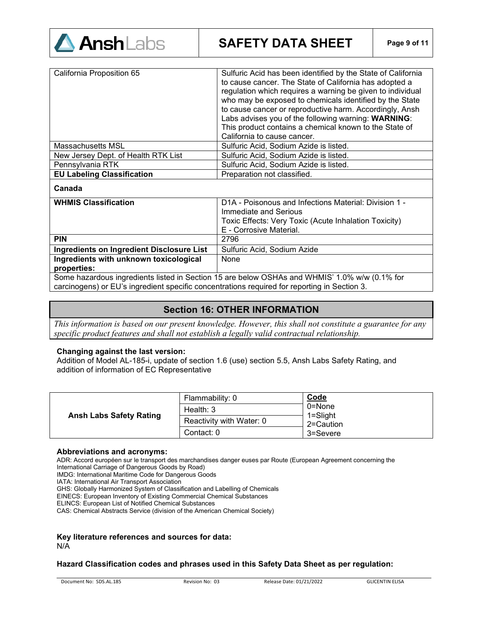

| California Proposition 65           | Sulfuric Acid has been identified by the State of California<br>to cause cancer. The State of California has adopted a<br>regulation which requires a warning be given to individual<br>who may be exposed to chemicals identified by the State<br>to cause cancer or reproductive harm. Accordingly, Ansh<br>Labs advises you of the following warning: WARNING:<br>This product contains a chemical known to the State of<br>California to cause cancer. |
|-------------------------------------|------------------------------------------------------------------------------------------------------------------------------------------------------------------------------------------------------------------------------------------------------------------------------------------------------------------------------------------------------------------------------------------------------------------------------------------------------------|
| Massachusetts MSL                   | Sulfuric Acid, Sodium Azide is listed.                                                                                                                                                                                                                                                                                                                                                                                                                     |
| New Jersey Dept. of Health RTK List | Sulfuric Acid, Sodium Azide is listed.                                                                                                                                                                                                                                                                                                                                                                                                                     |
| Pennsylvania RTK                    | Sulfuric Acid, Sodium Azide is listed.                                                                                                                                                                                                                                                                                                                                                                                                                     |
| <b>EU Labeling Classification</b>   | Preparation not classified.                                                                                                                                                                                                                                                                                                                                                                                                                                |
| Canada                              |                                                                                                                                                                                                                                                                                                                                                                                                                                                            |
| <b>WHMIS Classification</b>         | D1A - Poisonous and Infections Material: Division 1 -<br>Immediate and Serious                                                                                                                                                                                                                                                                                                                                                                             |

|                                                                                               | Immediate and Serious                                 |
|-----------------------------------------------------------------------------------------------|-------------------------------------------------------|
|                                                                                               | Toxic Effects: Very Toxic (Acute Inhalation Toxicity) |
|                                                                                               | E - Corrosive Material.                               |
| <b>PIN</b>                                                                                    | 2796                                                  |
| Ingredients on Ingredient Disclosure List                                                     | Sulfuric Acid, Sodium Azide                           |
| Ingredients with unknown toxicological                                                        | None                                                  |
| properties:                                                                                   |                                                       |
| Some hazardous ingredients listed in Section 15 are below OSHAs and WHMIS' 1.0% w/w (0.1% for |                                                       |
| carcinogens) or EU's ingredient specific concentrations required for reporting in Section 3.  |                                                       |

### **Section 16: OTHER INFORMATION**

*This information is based on our present knowledge. However, this shall not constitute a guarantee for any specific product features and shall not establish a legally valid contractual relationship*.

#### **Changing against the last version:**

Addition of Model AL-185-i, update of section 1.6 (use) section 5.5, Ansh Labs Safety Rating, and addition of information of EC Representative

| <b>Ansh Labs Safety Rating</b> | Flammability: 0          | <b>Code</b>                         |
|--------------------------------|--------------------------|-------------------------------------|
|                                | Health: $3$              | 0=None<br>$1 =$ Slight<br>2=Caution |
|                                | Reactivity with Water: 0 |                                     |
|                                | Contact: 0               | 3=Severe                            |

#### **Abbreviations and acronyms:**

ADR: Accord européen sur le transport des marchandises danger euses par Route (European Agreement concerning the International Carriage of Dangerous Goods by Road)

IMDG: International Maritime Code for Dangerous Goods

IATA: International Air Transport Association

GHS: Globally Harmonized System of Classification and Labelling of Chemicals

EINECS: European Inventory of Existing Commercial Chemical Substances

ELINCS: European List of Notified Chemical Substances

CAS: Chemical Abstracts Service (division of the American Chemical Society)

#### **Key literature references and sources for data:** N/A

#### **Hazard Classification codes and phrases used in this Safety Data Sheet as per regulation:**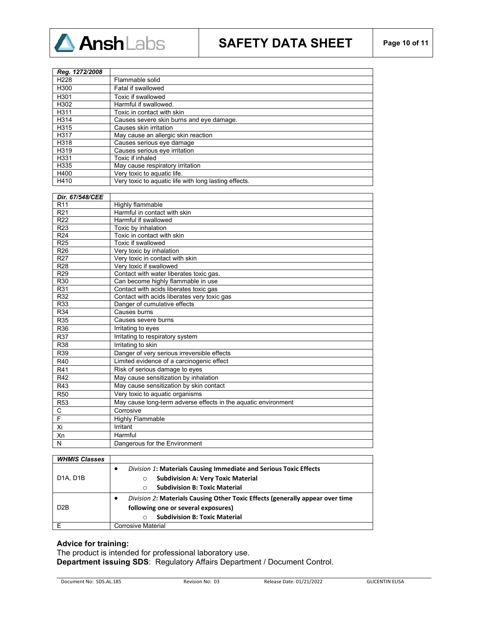

# **SAFETY DATA SHEET Page 10 of 11**

| Reg. 1272/2008   |                                                       |
|------------------|-------------------------------------------------------|
| H <sub>228</sub> | Flammable solid                                       |
| H300             | Fatal if swallowed                                    |
| H301             | Toxic if swallowed                                    |
| H302             | Harmful if swallowed.                                 |
| H311             | Toxic in contact with skin                            |
| H314             | Causes severe skin burns and eye damage.              |
| H315             | Causes skin irritation                                |
| H317             | May cause an allergic skin reaction                   |
| H318             | Causes serious eye damage                             |
| H319             | Causes serious eye irritation                         |
| H331             | Toxic if inhaled                                      |
| H335             | May cause respiratory irritation                      |
| H400             | Very toxic to aquatic life.                           |
| H410             | Very toxic to aquatic life with long lasting effects. |

| Dir. 67/548/CEE |                                                                |
|-----------------|----------------------------------------------------------------|
| R <sub>11</sub> | Highly flammable                                               |
| R <sub>21</sub> | Harmful in contact with skin                                   |
| R <sub>22</sub> | Harmful if swallowed                                           |
| R <sub>23</sub> | Toxic by inhalation                                            |
| R <sub>24</sub> | Toxic in contact with skin                                     |
| R <sub>25</sub> | Toxic if swallowed                                             |
| R <sub>26</sub> | Very toxic by inhalation                                       |
| R <sub>27</sub> | Very toxic in contact with skin                                |
| R <sub>28</sub> | Very toxic if swallowed                                        |
| R <sub>29</sub> | Contact with water liberates toxic gas.                        |
| R30             | Can become highly flammable in use                             |
| R31             | Contact with acids liberates toxic gas                         |
| R32             | Contact with acids liberates very toxic gas                    |
| R <sub>33</sub> | Danger of cumulative effects                                   |
| R34             | Causes burns                                                   |
| R35             | Causes severe burns                                            |
| R36             | Irritating to eyes                                             |
| R37             | Irritating to respiratory system                               |
| R <sub>38</sub> | Irritating to skin                                             |
| R39             | Danger of very serious irreversible effects                    |
| R40             | Limited evidence of a carcinogenic effect                      |
| R41             | Risk of serious damage to eyes                                 |
| R42             | May cause sensitization by inhalation                          |
| R43             | May cause sensitization by skin contact                        |
| <b>R50</b>      | Very toxic to aquatic organisms                                |
| <b>R53</b>      | May cause long-term adverse effects in the aquatic environment |
| C               | Corrosive                                                      |
| F               | <b>Highly Flammable</b>                                        |
| Xi              | Irritant                                                       |
| Xn              | Harmful                                                        |
| N               | Dangerous for the Environment                                  |

| <b>WHMIS Classes</b>               |                                                                                                   |
|------------------------------------|---------------------------------------------------------------------------------------------------|
| D <sub>1</sub> A. D <sub>1</sub> B | <b>Division 1: Materials Causing Immediate and Serious Toxic Effects</b><br>$\bullet$             |
|                                    | <b>Subdivision A: Very Toxic Material</b><br>$\circ$                                              |
|                                    | <b>Subdivision B: Toxic Material</b>                                                              |
| D <sub>2</sub> B                   | <i>Division 2:</i> Materials Causing Other Toxic Effects (generally appear over time<br>$\bullet$ |
|                                    | following one or several exposures)                                                               |
|                                    | <b>Subdivision B: Toxic Material</b>                                                              |
|                                    | Corrosive Material                                                                                |

#### **Advice for training:**

The product is intended for professional laboratory use. **Department issuing SDS**: Regulatory Affairs Department / Document Control.